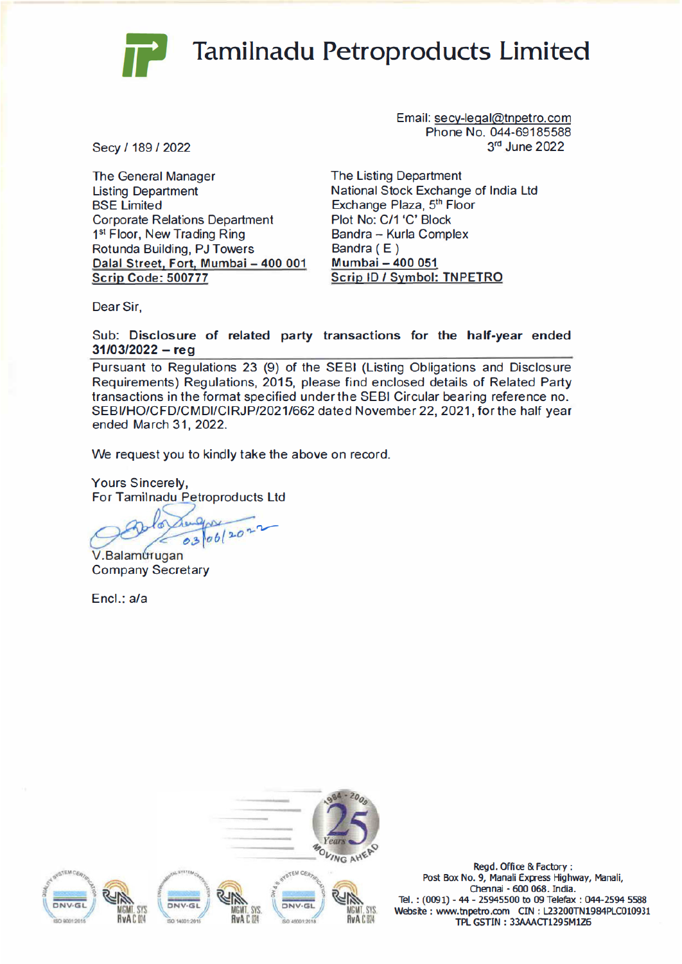

## **Tamilnadu Petroproducts Limited**

Secy / 189 / 2022

**The General Manager Listing Department BSE** Limited **Corporate Relations Department** 1st Floor, New Trading Ring Rotunda Building, PJ Towers Dalal Street, Fort, Mumbai - 400 001 **Scrip Code: 500777** 

Email: secy-legal@tnpetro.com Phone No. 044-69185588 3rd June 2022

The Listing Department National Stock Exchange of India Ltd Exchange Plaza, 5th Floor Plot No: C/1 'C' Block Bandra - Kurla Complex Bandra (E) Mumbai - 400 051 Scrip ID / Symbol: TNPETRO

Dear Sir.

Sub: Disclosure of related party transactions for the half-year ended  $31/03/2022 - reg$ 

Pursuant to Regulations 23 (9) of the SEBI (Listing Obligations and Disclosure Requirements) Regulations, 2015, please find enclosed details of Related Party transactions in the format specified under the SEBI Circular bearing reference no. SEBI/HO/CFD/CMDI/CIRJP/2021/662 dated November 22, 2021, for the half year ended March 31, 2022.

We request you to kindly take the above on record.

**Yours Sincerely,** For Tamilnadu Petroproducts Ltd

03 06/202

V.Balamurugan **Company Secretary** 

Encl.: a/a



Regd. Office & Factory: Post Box No. 9, Manali Express Highway, Manali, Chennai - 600 068. India. Tel.: (0091) - 44 - 25945500 to 09 Telefax: 044-2594 5588 Website: www.tnpetro.com CIN: L23200TN1984PLC010931 TPL GSTIN: 33AAACT1295M1Z6